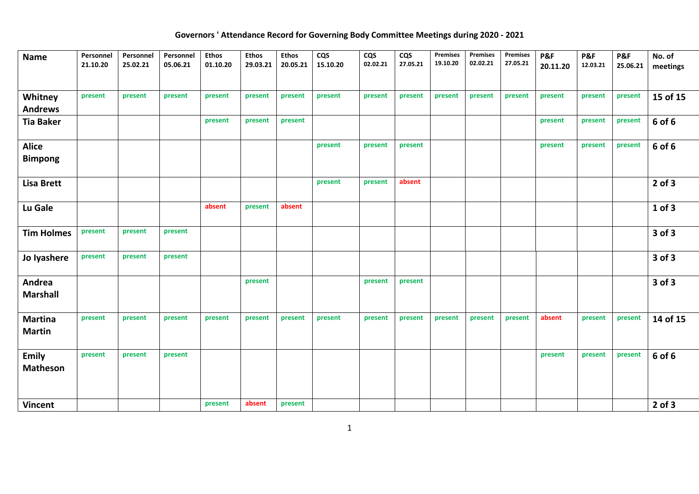## **Governors ' Attendance Record for Governing Body Committee Meetings during 2020 - 2021**

| <b>Name</b>                     | Personnel<br>21.10.20 | Personnel<br>25.02.21 | Personnel<br>05.06.21 | <b>Ethos</b><br>01.10.20 | <b>Ethos</b><br>29.03.21 | <b>Ethos</b><br>20.05.21 | <b>CQS</b><br>15.10.20 | <b>CQS</b><br>02.02.21 | <b>CQS</b><br>27.05.21 | Premises<br>19.10.20 | Premises<br>02.02.21 | <b>Premises</b><br>27.05.21 | P&F<br>20.11.20 | P&F<br>12.03.21 | P&F<br>25.06.21 | No. of<br>meetings |
|---------------------------------|-----------------------|-----------------------|-----------------------|--------------------------|--------------------------|--------------------------|------------------------|------------------------|------------------------|----------------------|----------------------|-----------------------------|-----------------|-----------------|-----------------|--------------------|
| Whitney                         | present               | present               | present               | present                  | present                  | present                  | present                | present                | present                | present              | present              | present                     | present         | present         | present         | 15 of 15           |
| <b>Andrews</b>                  |                       |                       |                       |                          |                          |                          |                        |                        |                        |                      |                      |                             |                 |                 |                 |                    |
| <b>Tia Baker</b>                |                       |                       |                       | present                  | present                  | present                  |                        |                        |                        |                      |                      |                             | present         | present         | present         | 6 of 6             |
| <b>Alice</b>                    |                       |                       |                       |                          |                          |                          | present                | present                | present                |                      |                      |                             | present         | present         | present         | 6 of 6             |
| <b>Bimpong</b>                  |                       |                       |                       |                          |                          |                          |                        |                        |                        |                      |                      |                             |                 |                 |                 |                    |
| <b>Lisa Brett</b>               |                       |                       |                       |                          |                          |                          | present                | present                | absent                 |                      |                      |                             |                 |                 |                 | $2$ of $3$         |
| Lu Gale                         |                       |                       |                       | absent                   | present                  | absent                   |                        |                        |                        |                      |                      |                             |                 |                 |                 | $1$ of $3$         |
| <b>Tim Holmes</b>               | present               | present               | present               |                          |                          |                          |                        |                        |                        |                      |                      |                             |                 |                 |                 | 3 of 3             |
| Jo lyashere                     | present               | present               | present               |                          |                          |                          |                        |                        |                        |                      |                      |                             |                 |                 |                 | 3 of 3             |
| Andrea<br><b>Marshall</b>       |                       |                       |                       |                          | present                  |                          |                        | present                | present                |                      |                      |                             |                 |                 |                 | 3 of 3             |
| <b>Martina</b><br><b>Martin</b> | present               | present               | present               | present                  | present                  | present                  | present                | present                | present                | present              | present              | present                     | absent          | present         | present         | 14 of 15           |
| <b>Emily</b><br><b>Matheson</b> | present               | present               | present               |                          |                          |                          |                        |                        |                        |                      |                      |                             | present         | present         | present         | 6 of 6             |
| <b>Vincent</b>                  |                       |                       |                       | present                  | absent                   | present                  |                        |                        |                        |                      |                      |                             |                 |                 |                 | $2$ of $3$         |